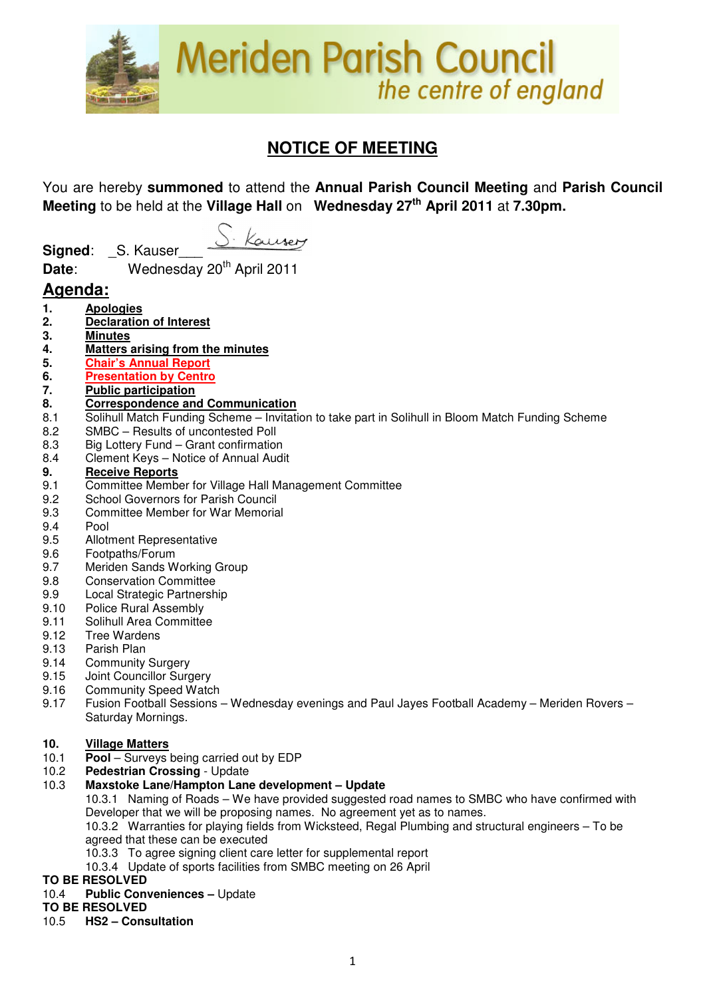

# **NOTICE OF MEETING**

You are hereby **summoned** to attend the **Annual Parish Council Meeting** and **Parish Council Meeting** to be held at the **Village Hall** on **Wednesday 27th April 2011** at **7.30pm.**

Kauser **Signed:** S. Kauser

**Date:** Wednesday 20<sup>th</sup> April 2011

## **Agenda:**

- **1. Apologies**
- **2. Declaration of Interest**
- **3. Minutes**
- **4. Matters arising from the minutes**
- **5. Chair's Annual Report**
- **6. Presentation by Centro**
- **7. Public participation**
- **8. Correspondence and Communication**
- 8.1 Solihull Match Funding Scheme Invitation to take part in Solihull in Bloom Match Funding Scheme
- 8.2 SMBC Results of uncontested Poll
- 8.3 Big Lottery Fund Grant confirmation
- 8.4 Clement Keys Notice of Annual Audit

#### **9. Receive Reports**

- 9.1 Committee Member for Village Hall Management Committee
- 9.2 School Governors for Parish Council<br>9.3 Committee Member for War Memoria
- 9.3 Committee Member for War Memorial
- 9.4 Pool
- 9.5 Allotment Representative
- 9.6 Footpaths/Forum
- 9.7 Meriden Sands Working Group
- 9.8 Conservation Committee
- 9.9 Local Strategic Partnership
- 9.10 Police Rural Assembly
- 9.11 Solihull Area Committee
- 9.12 Tree Wardens
- 9.13 Parish Plan<br>9.14 Community
- **Community Surgery**
- 9.15 Joint Councillor Surgery
- 9.16 Community Speed Watch
- 9.17 Fusion Football Sessions Wednesday evenings and Paul Jayes Football Academy Meriden Rovers Saturday Mornings.

#### **10. Village Matters**

- 10.1 **Pool** Surveys being carried out by EDP
- 10.2 **Pedestrian Crossing** Update

#### 10.3 **Maxstoke Lane/Hampton Lane development – Update**

 10.3.1 Naming of Roads – We have provided suggested road names to SMBC who have confirmed with Developer that we will be proposing names. No agreement yet as to names.

 10.3.2 Warranties for playing fields from Wicksteed, Regal Plumbing and structural engineers – To be agreed that these can be executed

- 10.3.3 To agree signing client care letter for supplemental report
- 10.3.4 Update of sports facilities from SMBC meeting on 26 April

#### **TO BE RESOLVED**

## 10.4 **Public Conveniences –** Update

## **TO BE RESOLVED**

## 10.5 **HS2 – Consultation**